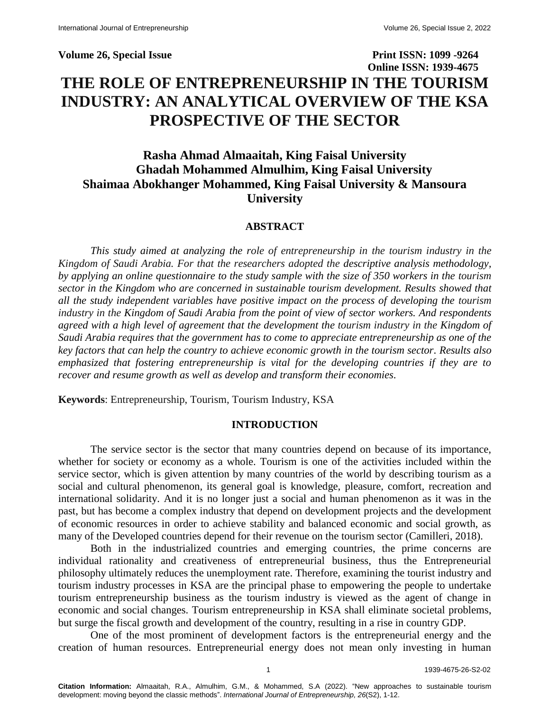# **Volume 26, Special Issue Print ISSN: 1099 -9264 Online ISSN: 1939-4675 THE ROLE OF ENTREPRENEURSHIP IN THE TOURISM INDUSTRY: AN ANALYTICAL OVERVIEW OF THE KSA PROSPECTIVE OF THE SECTOR**

# **Rasha Ahmad Almaaitah, King Faisal University Ghadah Mohammed Almulhim, King Faisal University Shaimaa Abokhanger Mohammed, King Faisal University & Mansoura University**

#### **ABSTRACT**

*This study aimed at analyzing the role of entrepreneurship in the tourism industry in the Kingdom of Saudi Arabia. For that the researchers adopted the descriptive analysis methodology, by applying an online questionnaire to the study sample with the size of 350 workers in the tourism sector in the Kingdom who are concerned in sustainable tourism development. Results showed that all the study independent variables have positive impact on the process of developing the tourism industry in the Kingdom of Saudi Arabia from the point of view of sector workers. And respondents agreed with a high level of agreement that the development the tourism industry in the Kingdom of Saudi Arabia requires that the government has to come to appreciate entrepreneurship as one of the key factors that can help the country to achieve economic growth in the tourism sector. Results also emphasized that fostering entrepreneurship is vital for the developing countries if they are to recover and resume growth as well as develop and transform their economies.*

**Keywords**: Entrepreneurship, Tourism, Tourism Industry, KSA

#### **INTRODUCTION**

The service sector is the sector that many countries depend on because of its importance, whether for society or economy as a whole. Tourism is one of the activities included within the service sector, which is given attention by many countries of the world by describing tourism as a social and cultural phenomenon, its general goal is knowledge, pleasure, comfort, recreation and international solidarity. And it is no longer just a social and human phenomenon as it was in the past, but has become a complex industry that depend on development projects and the development of economic resources in order to achieve stability and balanced economic and social growth, as many of the Developed countries depend for their revenue on the tourism sector (Camilleri, 2018).

Both in the industrialized countries and emerging countries, the prime concerns are individual rationality and creativeness of entrepreneurial business, thus the Entrepreneurial philosophy ultimately reduces the unemployment rate. Therefore, examining the tourist industry and tourism industry processes in KSA are the principal phase to empowering the people to undertake tourism entrepreneurship business as the tourism industry is viewed as the agent of change in economic and social changes. Tourism entrepreneurship in KSA shall eliminate societal problems, but surge the fiscal growth and development of the country, resulting in a rise in country GDP.

One of the most prominent of development factors is the entrepreneurial energy and the creation of human resources. Entrepreneurial energy does not mean only investing in human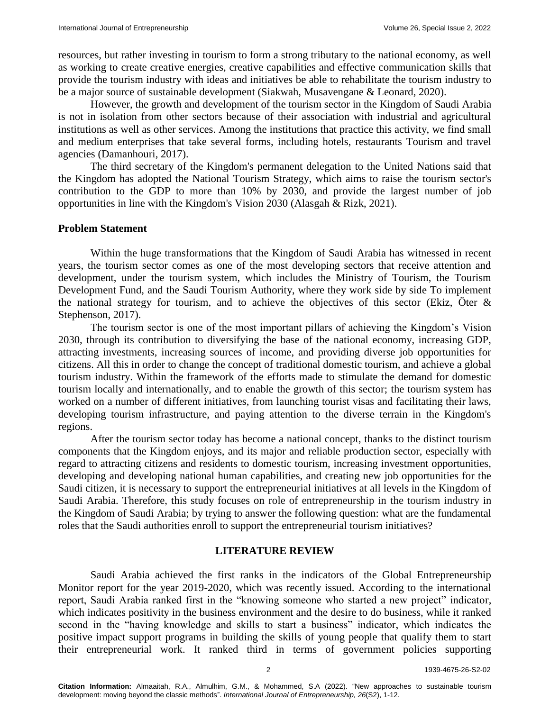resources, but rather investing in tourism to form a strong tributary to the national economy, as well as working to create creative energies, creative capabilities and effective communication skills that provide the tourism industry with ideas and initiatives be able to rehabilitate the tourism industry to be a major source of sustainable development (Siakwah, Musavengane & Leonard, 2020).

However, the growth and development of the tourism sector in the Kingdom of Saudi Arabia is not in isolation from other sectors because of their association with industrial and agricultural institutions as well as other services. Among the institutions that practice this activity, we find small and medium enterprises that take several forms, including hotels, restaurants Tourism and travel agencies (Damanhouri, 2017).

The third secretary of the Kingdom's permanent delegation to the United Nations said that the Kingdom has adopted the National Tourism Strategy, which aims to raise the tourism sector's contribution to the GDP to more than 10% by 2030, and provide the largest number of job opportunities in line with the Kingdom's Vision 2030 (Alasgah & Rizk, 2021).

#### **Problem Statement**

Within the huge transformations that the Kingdom of Saudi Arabia has witnessed in recent years, the tourism sector comes as one of the most developing sectors that receive attention and development, under the tourism system, which includes the Ministry of Tourism, the Tourism Development Fund, and the Saudi Tourism Authority, where they work side by side To implement the national strategy for tourism, and to achieve the objectives of this sector (Ekiz, Öter  $\&$ Stephenson, 2017).

The tourism sector is one of the most important pillars of achieving the Kingdom's Vision 2030, through its contribution to diversifying the base of the national economy, increasing GDP, attracting investments, increasing sources of income, and providing diverse job opportunities for citizens. All this in order to change the concept of traditional domestic tourism, and achieve a global tourism industry. Within the framework of the efforts made to stimulate the demand for domestic tourism locally and internationally, and to enable the growth of this sector; the tourism system has worked on a number of different initiatives, from launching tourist visas and facilitating their laws, developing tourism infrastructure, and paying attention to the diverse terrain in the Kingdom's regions.

After the tourism sector today has become a national concept, thanks to the distinct tourism components that the Kingdom enjoys, and its major and reliable production sector, especially with regard to attracting citizens and residents to domestic tourism, increasing investment opportunities, developing and developing national human capabilities, and creating new job opportunities for the Saudi citizen, it is necessary to support the entrepreneurial initiatives at all levels in the Kingdom of Saudi Arabia. Therefore, this study focuses on role of entrepreneurship in the tourism industry in the Kingdom of Saudi Arabia; by trying to answer the following question: what are the fundamental roles that the Saudi authorities enroll to support the entrepreneurial tourism initiatives?

#### **LITERATURE REVIEW**

Saudi Arabia achieved the first ranks in the indicators of the Global Entrepreneurship Monitor report for the year 2019-2020, which was recently issued. According to the international report, Saudi Arabia ranked first in the "knowing someone who started a new project" indicator, which indicates positivity in the business environment and the desire to do business, while it ranked second in the "having knowledge and skills to start a business" indicator, which indicates the positive impact support programs in building the skills of young people that qualify them to start their entrepreneurial work. It ranked third in terms of government policies supporting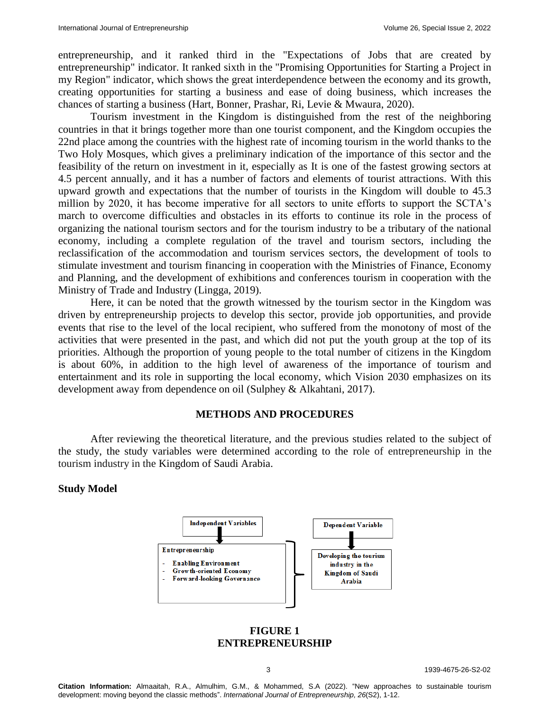entrepreneurship, and it ranked third in the "Expectations of Jobs that are created by entrepreneurship" indicator. It ranked sixth in the "Promising Opportunities for Starting a Project in my Region" indicator, which shows the great interdependence between the economy and its growth, creating opportunities for starting a business and ease of doing business, which increases the chances of starting a business (Hart, Bonner, Prashar, Ri, Levie & Mwaura, 2020).

Tourism investment in the Kingdom is distinguished from the rest of the neighboring countries in that it brings together more than one tourist component, and the Kingdom occupies the 22nd place among the countries with the highest rate of incoming tourism in the world thanks to the Two Holy Mosques, which gives a preliminary indication of the importance of this sector and the feasibility of the return on investment in it, especially as It is one of the fastest growing sectors at 4.5 percent annually, and it has a number of factors and elements of tourist attractions. With this upward growth and expectations that the number of tourists in the Kingdom will double to 45.3 million by 2020, it has become imperative for all sectors to unite efforts to support the SCTA's march to overcome difficulties and obstacles in its efforts to continue its role in the process of organizing the national tourism sectors and for the tourism industry to be a tributary of the national economy, including a complete regulation of the travel and tourism sectors, including the reclassification of the accommodation and tourism services sectors, the development of tools to stimulate investment and tourism financing in cooperation with the Ministries of Finance, Economy and Planning, and the development of exhibitions and conferences tourism in cooperation with the Ministry of Trade and Industry (Lingga, 2019).

Here, it can be noted that the growth witnessed by the tourism sector in the Kingdom was driven by entrepreneurship projects to develop this sector, provide job opportunities, and provide events that rise to the level of the local recipient, who suffered from the monotony of most of the activities that were presented in the past, and which did not put the youth group at the top of its priorities. Although the proportion of young people to the total number of citizens in the Kingdom is about 60%, in addition to the high level of awareness of the importance of tourism and entertainment and its role in supporting the local economy, which Vision 2030 emphasizes on its development away from dependence on oil (Sulphey & Alkahtani, 2017).

## **METHODS AND PROCEDURES**

After reviewing the theoretical literature, and the previous studies related to the subject of the study, the study variables were determined according to the role of entrepreneurship in the tourism industry in the Kingdom of Saudi Arabia.

#### **Study Model**



#### **FIGURE 1 ENTREPRENEURSHIP**

3 1939-4675-26-S2-02

**Citation Information:** Almaaitah, R.A., Almulhim, G.M., & Mohammed, S.A (2022). "New approaches to sustainable tourism development: moving beyond the classic methods". *International Journal of Entrepreneurship, 26*(S2), 1-12.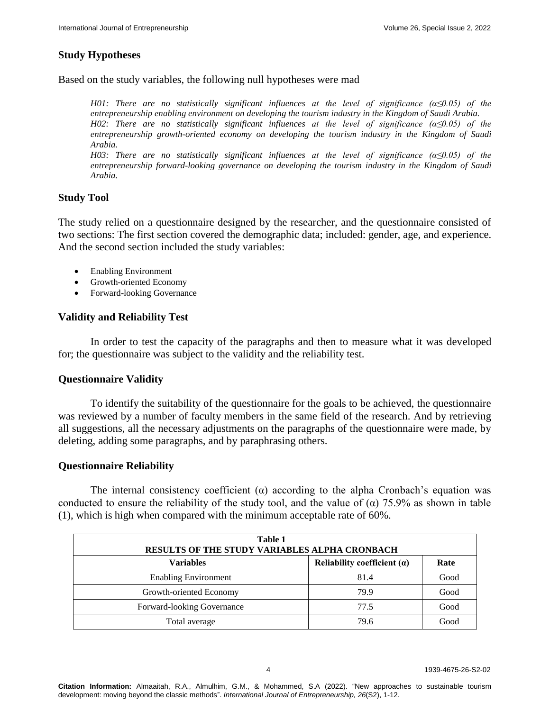# **Study Hypotheses**

Based on the study variables, the following null hypotheses were mad

*H01: There are no statistically significant influences at the level of significance (α≤0.05) of the entrepreneurship enabling environment on developing the tourism industry in the Kingdom of Saudi Arabia. H02: There are no statistically significant influences at the level of significance (α≤0.05) of the entrepreneurship growth-oriented economy on developing the tourism industry in the Kingdom of Saudi Arabia.*

*H03: There are no statistically significant influences at the level of significance (α≤0.05) of the entrepreneurship forward-looking governance on developing the tourism industry in the Kingdom of Saudi Arabia.*

## **Study Tool**

The study relied on a questionnaire designed by the researcher, and the questionnaire consisted of two sections: The first section covered the demographic data; included: gender, age, and experience. And the second section included the study variables:

- Enabling Environment
- Growth-oriented Economy
- Forward-looking Governance

## **Validity and Reliability Test**

In order to test the capacity of the paragraphs and then to measure what it was developed for; the questionnaire was subject to the validity and the reliability test.

## **Questionnaire Validity**

To identify the suitability of the questionnaire for the goals to be achieved, the questionnaire was reviewed by a number of faculty members in the same field of the research. And by retrieving all suggestions, all the necessary adjustments on the paragraphs of the questionnaire were made, by deleting, adding some paragraphs, and by paraphrasing others.

## **Questionnaire Reliability**

The internal consistency coefficient  $(\alpha)$  according to the alpha Cronbach's equation was conducted to ensure the reliability of the study tool, and the value of  $(\alpha)$  75.9% as shown in table (1), which is high when compared with the minimum acceptable rate of 60%.

| Table 1<br><b>RESULTS OF THE STUDY VARIABLES ALPHA CRONBACH</b> |                               |      |  |  |
|-----------------------------------------------------------------|-------------------------------|------|--|--|
| <b>Variables</b>                                                | Reliability coefficient $(a)$ | Rate |  |  |
| <b>Enabling Environment</b>                                     | 81.4                          | Good |  |  |
| Growth-oriented Economy                                         | 79.9                          | Good |  |  |
| Forward-looking Governance                                      | 77.5                          | Good |  |  |
| Total average                                                   | 79.6                          | Good |  |  |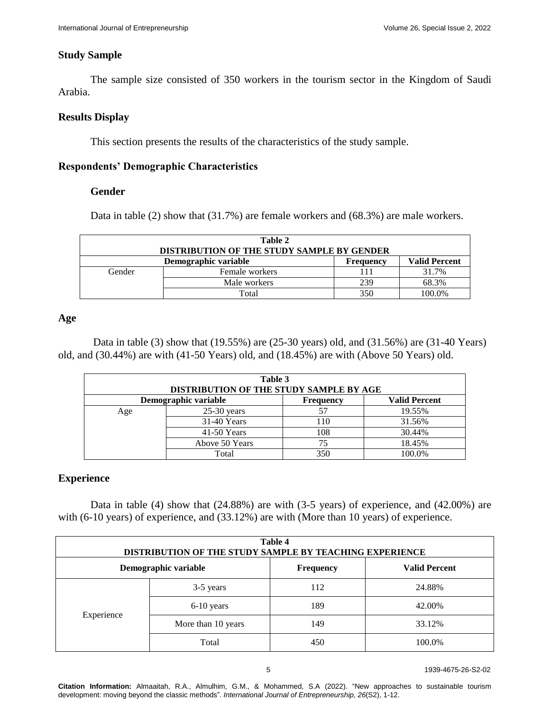#### **Study Sample**

The sample size consisted of 350 workers in the tourism sector in the Kingdom of Saudi Arabia.

#### **Results Display**

This section presents the results of the characteristics of the study sample.

#### **Respondents' Demographic Characteristics**

#### **Gender**

Data in table (2) show that (31.7%) are female workers and (68.3%) are male workers.

| Table 2<br><b>DISTRIBUTION OF THE STUDY SAMPLE BY GENDER</b> |                |     |                      |  |
|--------------------------------------------------------------|----------------|-----|----------------------|--|
| Demographic variable<br>Frequency                            |                |     | <b>Valid Percent</b> |  |
| Gender                                                       | Female workers |     | 31.7%                |  |
|                                                              | Male workers   | 239 | 68.3%                |  |
|                                                              | Total          | 350 | 100.0%               |  |

## **Age**

Data in table (3) show that (19.55%) are (25-30 years) old, and (31.56%) are (31-40 Years) old, and (30.44%) are with (41-50 Years) old, and (18.45%) are with (Above 50 Years) old.

| Table 3<br>DISTRIBUTION OF THE STUDY SAMPLE BY AGE               |                |     |        |  |  |  |
|------------------------------------------------------------------|----------------|-----|--------|--|--|--|
| Demographic variable<br><b>Valid Percent</b><br><b>Frequency</b> |                |     |        |  |  |  |
| Age                                                              | $25-30$ years  |     | 19.55% |  |  |  |
|                                                                  | 31-40 Years    | 110 | 31.56% |  |  |  |
|                                                                  | $41-50$ Years  | 108 | 30.44% |  |  |  |
|                                                                  | Above 50 Years | 75  | 18.45% |  |  |  |
|                                                                  | Total          | 350 | 100.0% |  |  |  |

## **Experience**

Data in table (4) show that (24.88%) are with (3-5 years) of experience, and (42.00%) are with (6-10 years) of experience, and (33.12%) are with (More than 10 years) of experience.

| Table 4<br>DISTRIBUTION OF THE STUDY SAMPLE BY TEACHING EXPERIENCE |                    |     |        |  |  |
|--------------------------------------------------------------------|--------------------|-----|--------|--|--|
| Demographic variable<br><b>Valid Percent</b><br><b>Frequency</b>   |                    |     |        |  |  |
|                                                                    | 3-5 years          | 112 | 24.88% |  |  |
| Experience                                                         | 6-10 years         | 189 | 42.00% |  |  |
|                                                                    | More than 10 years | 149 | 33.12% |  |  |
|                                                                    | Total              | 450 | 100.0% |  |  |

**Citation Information:** Almaaitah, R.A., Almulhim, G.M., & Mohammed, S.A (2022). "New approaches to sustainable tourism development: moving beyond the classic methods". *International Journal of Entrepreneurship, 26*(S2), 1-12.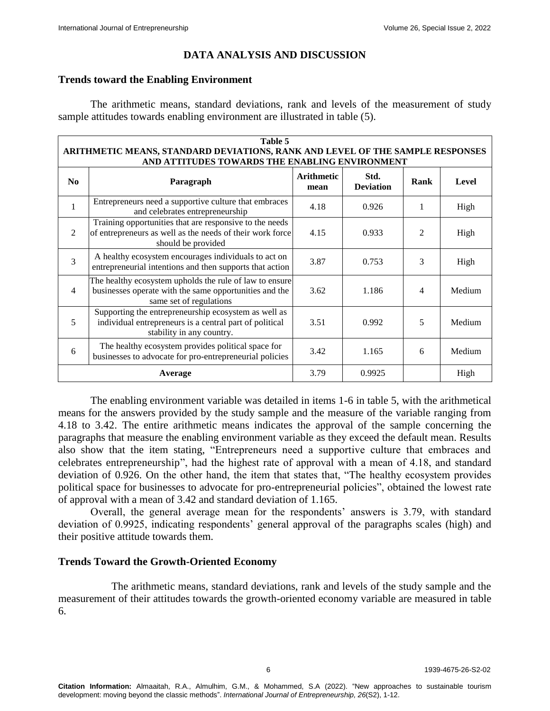## **DATA ANALYSIS AND DISCUSSION**

#### **Trends toward the Enabling Environment**

The arithmetic means, standard deviations, rank and levels of the measurement of study sample attitudes towards enabling environment are illustrated in table (5).

|                | Table 5<br>ARITHMETIC MEANS, STANDARD DEVIATIONS, RANK AND LEVEL OF THE SAMPLE RESPONSES<br>AND ATTITUDES TOWARDS THE ENABLING ENVIRONMENT   |                           |                          |                |        |
|----------------|----------------------------------------------------------------------------------------------------------------------------------------------|---------------------------|--------------------------|----------------|--------|
| N <sub>0</sub> | Paragraph                                                                                                                                    | <b>Arithmetic</b><br>mean | Std.<br><b>Deviation</b> | Rank           | Level  |
| 1              | Entrepreneurs need a supportive culture that embraces<br>and celebrates entrepreneurship                                                     | 4.18                      | 0.926                    |                | High   |
| 2              | Training opportunities that are responsive to the needs<br>of entrepreneurs as well as the needs of their work force<br>should be provided   | 4.15                      | 0.933                    | $\mathfrak{D}$ | High   |
| 3              | A healthy ecosystem encourages individuals to act on<br>entrepreneurial intentions and then supports that action                             | 3.87                      | 0.753                    | 3              | High   |
| $\overline{4}$ | The healthy ecosystem upholds the rule of law to ensure<br>businesses operate with the same opportunities and the<br>same set of regulations | 3.62                      | 1.186                    | $\overline{4}$ | Medium |
| 5              | Supporting the entrepreneurship ecosystem as well as<br>individual entrepreneurs is a central part of political<br>stability in any country. | 3.51                      | 0.992                    | 5              | Medium |
| 6              | The healthy ecosystem provides political space for<br>businesses to advocate for pro-entrepreneurial policies                                | 3.42                      | 1.165                    | 6              | Medium |
|                | Average                                                                                                                                      | 3.79                      | 0.9925                   |                | High   |

The enabling environment variable was detailed in items 1-6 in table 5, with the arithmetical means for the answers provided by the study sample and the measure of the variable ranging from 4.18 to 3.42. The entire arithmetic means indicates the approval of the sample concerning the paragraphs that measure the enabling environment variable as they exceed the default mean. Results also show that the item stating, "Entrepreneurs need a supportive culture that embraces and celebrates entrepreneurship", had the highest rate of approval with a mean of 4.18, and standard deviation of 0.926. On the other hand, the item that states that, "The healthy ecosystem provides political space for businesses to advocate for pro-entrepreneurial policies", obtained the lowest rate of approval with a mean of 3.42 and standard deviation of 1.165.

Overall, the general average mean for the respondents' answers is 3.79, with standard deviation of 0.9925, indicating respondents' general approval of the paragraphs scales (high) and their positive attitude towards them.

## **Trends Toward the Growth-Oriented Economy**

The arithmetic means, standard deviations, rank and levels of the study sample and the measurement of their attitudes towards the growth-oriented economy variable are measured in table 6.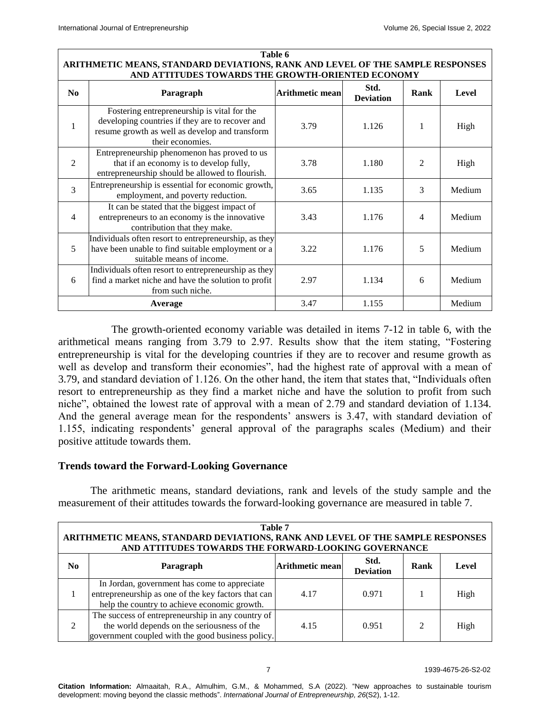#### **Table 6 ARITHMETIC MEANS, STANDARD DEVIATIONS, RANK AND LEVEL OF THE SAMPLE RESPONSES AND ATTITUDES TOWARDS THE GROWTH-ORIENTED ECONOMY**

| N <sub>0</sub> | Paragraph                                                                                                                                                            | <b>Arithmetic mean</b> | Std.<br><b>Deviation</b> | Rank           | Level  |
|----------------|----------------------------------------------------------------------------------------------------------------------------------------------------------------------|------------------------|--------------------------|----------------|--------|
| 1              | Fostering entrepreneurship is vital for the<br>developing countries if they are to recover and<br>resume growth as well as develop and transform<br>their economies. | 3.79                   | 1.126                    | 1              | High   |
| 2              | Entrepreneurship phenomenon has proved to us<br>that if an economy is to develop fully,<br>entrepreneurship should be allowed to flourish.                           | 3.78                   | 1.180                    | $\mathfrak{D}$ | High   |
| 3              | Entrepreneurship is essential for economic growth,<br>employment, and poverty reduction.                                                                             | 3.65                   | 1.135                    | 3              | Medium |
| 4              | It can be stated that the biggest impact of<br>entrepreneurs to an economy is the innovative<br>contribution that they make.                                         | 3.43                   | 1.176                    | 4              | Medium |
| 5              | Individuals often resort to entrepreneurship, as they<br>have been unable to find suitable employment or a<br>suitable means of income.                              | 3.22                   | 1.176                    | 5              | Medium |
| 6              | Individuals often resort to entrepreneurship as they<br>find a market niche and have the solution to profit<br>from such niche.                                      | 2.97                   | 1.134                    | 6              | Medium |
|                | Average                                                                                                                                                              | 3.47                   | 1.155                    |                | Medium |

The growth-oriented economy variable was detailed in items 7-12 in table 6, with the arithmetical means ranging from 3.79 to 2.97. Results show that the item stating, "Fostering entrepreneurship is vital for the developing countries if they are to recover and resume growth as well as develop and transform their economies", had the highest rate of approval with a mean of 3.79, and standard deviation of 1.126. On the other hand, the item that states that, "Individuals often resort to entrepreneurship as they find a market niche and have the solution to profit from such niche", obtained the lowest rate of approval with a mean of 2.79 and standard deviation of 1.134. And the general average mean for the respondents' answers is 3.47, with standard deviation of 1.155, indicating respondents' general approval of the paragraphs scales (Medium) and their positive attitude towards them.

## **Trends toward the Forward-Looking Governance**

The arithmetic means, standard deviations, rank and levels of the study sample and the measurement of their attitudes towards the forward-looking governance are measured in table 7.

| Table 7<br>ARITHMETIC MEANS, STANDARD DEVIATIONS, RANK AND LEVEL OF THE SAMPLE RESPONSES<br>AND ATTITUDES TOWARDS THE FORWARD-LOOKING GOVERNANCE |                                                                                                                                                       |      |       |   |      |
|--------------------------------------------------------------------------------------------------------------------------------------------------|-------------------------------------------------------------------------------------------------------------------------------------------------------|------|-------|---|------|
| Std.<br><b>Arithmetic mean</b><br>Rank<br>N <sub>0</sub><br>Level<br>Paragraph<br><b>Deviation</b>                                               |                                                                                                                                                       |      |       |   |      |
|                                                                                                                                                  | In Jordan, government has come to appreciate<br>entrepreneurship as one of the key factors that can<br>help the country to achieve economic growth.   | 4.17 | 0.971 |   | High |
| $\mathfrak{D}$                                                                                                                                   | The success of entrepreneurship in any country of<br>the world depends on the seriousness of the<br>government coupled with the good business policy. | 4.15 | 0.951 | 2 | High |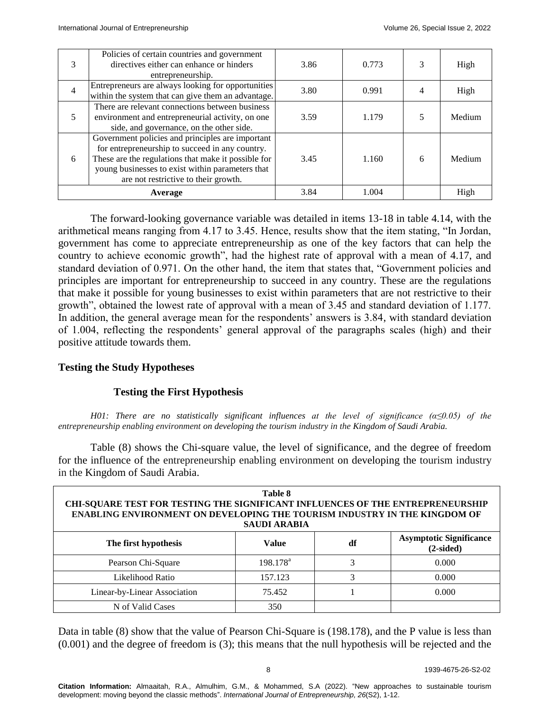| 3 | Policies of certain countries and government<br>directives either can enhance or hinders<br>entrepreneurship.                                                                                                                                          | 3.86 | 0.773 |   | High   |
|---|--------------------------------------------------------------------------------------------------------------------------------------------------------------------------------------------------------------------------------------------------------|------|-------|---|--------|
| 4 | Entrepreneurs are always looking for opportunities<br>within the system that can give them an advantage.                                                                                                                                               | 3.80 | 0.991 |   | High   |
| 5 | There are relevant connections between business<br>environment and entrepreneurial activity, on one<br>side, and governance, on the other side.                                                                                                        | 3.59 | 1.179 |   | Medium |
| 6 | Government policies and principles are important<br>for entrepreneurship to succeed in any country.<br>These are the regulations that make it possible for<br>young businesses to exist within parameters that<br>are not restrictive to their growth. | 3.45 | 1.160 | 6 | Medium |
|   | Average                                                                                                                                                                                                                                                | 3.84 | 1.004 |   | High   |

The forward-looking governance variable was detailed in items 13-18 in table 4.14, with the arithmetical means ranging from 4.17 to 3.45. Hence, results show that the item stating, "In Jordan, government has come to appreciate entrepreneurship as one of the key factors that can help the country to achieve economic growth", had the highest rate of approval with a mean of 4.17, and standard deviation of 0.971. On the other hand, the item that states that, "Government policies and principles are important for entrepreneurship to succeed in any country. These are the regulations that make it possible for young businesses to exist within parameters that are not restrictive to their growth", obtained the lowest rate of approval with a mean of 3.45 and standard deviation of 1.177. In addition, the general average mean for the respondents' answers is 3.84, with standard deviation of 1.004, reflecting the respondents' general approval of the paragraphs scales (high) and their positive attitude towards them.

# **Testing the Study Hypotheses**

## **Testing the First Hypothesis**

*H01: There are no statistically significant influences at the level of significance (α≤0.05) of the entrepreneurship enabling environment on developing the tourism industry in the Kingdom of Saudi Arabia.* 

Table (8) shows the Chi-square value, the level of significance, and the degree of freedom for the influence of the entrepreneurship enabling environment on developing the tourism industry in the Kingdom of Saudi Arabia.

| Table 8<br><b>CHI-SQUARE TEST FOR TESTING THE SIGNIFICANT INFLUENCES OF THE ENTREPRENEURSHIP</b><br><b>ENABLING ENVIRONMENT ON DEVELOPING THE TOURISM INDUSTRY IN THE KINGDOM OF</b><br><b>SAUDI ARABIA</b> |             |    |                                               |  |  |
|-------------------------------------------------------------------------------------------------------------------------------------------------------------------------------------------------------------|-------------|----|-----------------------------------------------|--|--|
| The first hypothesis                                                                                                                                                                                        | Value       | df | <b>Asymptotic Significance</b><br>$(2-sided)$ |  |  |
| Pearson Chi-Square                                                                                                                                                                                          | $198.178^a$ | 3  | 0.000                                         |  |  |
| Likelihood Ratio                                                                                                                                                                                            | 157.123     | 3  | 0.000                                         |  |  |
| Linear-by-Linear Association                                                                                                                                                                                | 75.452      |    | 0.000                                         |  |  |
| N of Valid Cases                                                                                                                                                                                            | 350         |    |                                               |  |  |

Data in table (8) show that the value of Pearson Chi-Square is (198.178), and the P value is less than (0.001) and the degree of freedom is (3); this means that the null hypothesis will be rejected and the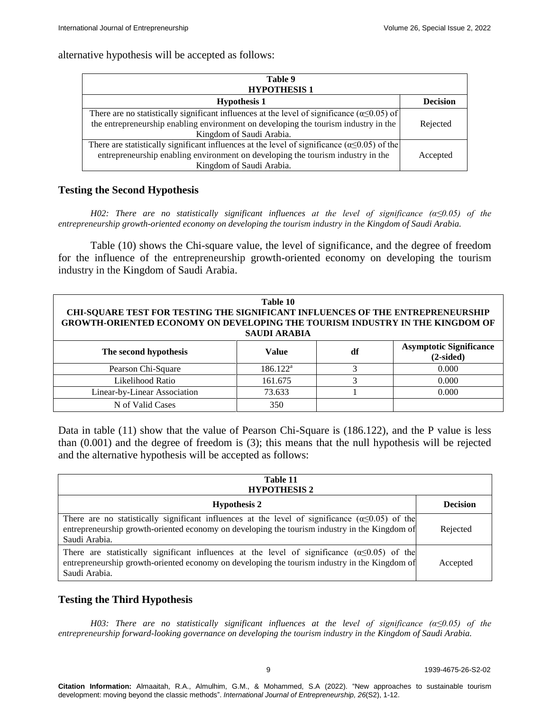#### alternative hypothesis will be accepted as follows:

| Table 9<br><b>HYPOTHESIS1</b>                                                                                                                                                                                               |                 |  |  |
|-----------------------------------------------------------------------------------------------------------------------------------------------------------------------------------------------------------------------------|-----------------|--|--|
| <b>Hypothesis 1</b>                                                                                                                                                                                                         | <b>Decision</b> |  |  |
| There are no statistically significant influences at the level of significance ( $\alpha \leq 0.05$ ) of<br>the entrepreneurship enabling environment on developing the tourism industry in the<br>Kingdom of Saudi Arabia. | Rejected        |  |  |
| There are statistically significant influences at the level of significance ( $\alpha \le 0.05$ ) of the<br>entrepreneurship enabling environment on developing the tourism industry in the<br>Kingdom of Saudi Arabia.     | Accepted        |  |  |

## **Testing the Second Hypothesis**

*H02: There are no statistically significant influences at the level of significance (α≤0.05) of the entrepreneurship growth-oriented economy on developing the tourism industry in the Kingdom of Saudi Arabia.* 

Table (10) shows the Chi-square value, the level of significance, and the degree of freedom for the influence of the entrepreneurship growth-oriented economy on developing the tourism industry in the Kingdom of Saudi Arabia.

| Table 10<br>CHI-SQUARE TEST FOR TESTING THE SIGNIFICANT INFLUENCES OF THE ENTREPRENEURSHIP<br><b>GROWTH-ORIENTED ECONOMY ON DEVELOPING THE TOURISM INDUSTRY IN THE KINGDOM OF</b><br><b>SAUDI ARABIA</b> |             |    |                                               |  |  |
|----------------------------------------------------------------------------------------------------------------------------------------------------------------------------------------------------------|-------------|----|-----------------------------------------------|--|--|
| The second hypothesis                                                                                                                                                                                    | Value       | df | <b>Asymptotic Significance</b><br>$(2-sided)$ |  |  |
| Pearson Chi-Square                                                                                                                                                                                       | $186.122^a$ | 3  | 0.000                                         |  |  |
| Likelihood Ratio                                                                                                                                                                                         | 161.675     | 3  | 0.000                                         |  |  |
| Linear-by-Linear Association                                                                                                                                                                             | 73.633      |    | 0.000                                         |  |  |
| N of Valid Cases                                                                                                                                                                                         | 350         |    |                                               |  |  |

Data in table (11) show that the value of Pearson Chi-Square is (186.122), and the P value is less than (0.001) and the degree of freedom is (3); this means that the null hypothesis will be rejected and the alternative hypothesis will be accepted as follows:

| Table 11<br><b>HYPOTHESIS 2</b>                                                                                                                                                                                             |                 |
|-----------------------------------------------------------------------------------------------------------------------------------------------------------------------------------------------------------------------------|-----------------|
| <b>Hypothesis 2</b>                                                                                                                                                                                                         | <b>Decision</b> |
| There are no statistically significant influences at the level of significance $(\alpha \le 0.05)$ of the<br>entrepreneurship growth-oriented economy on developing the tourism industry in the Kingdom of<br>Saudi Arabia. | Rejected        |
| There are statistically significant influences at the level of significance ( $\alpha \le 0.05$ ) of the<br>entrepreneurship growth-oriented economy on developing the tourism industry in the Kingdom of<br>Saudi Arabia.  | Accepted        |

# **Testing the Third Hypothesis**

*H03: There are no statistically significant influences at the level of significance (α≤0.05) of the entrepreneurship forward-looking governance on developing the tourism industry in the Kingdom of Saudi Arabia.*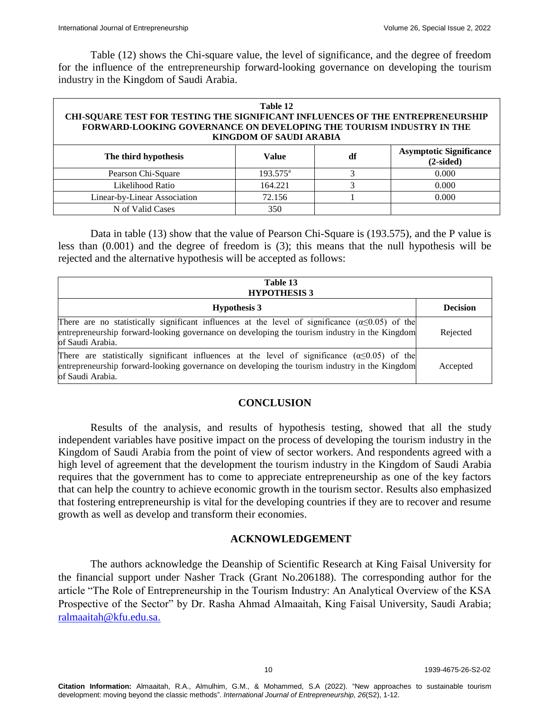Table (12) shows the Chi-square value, the level of significance, and the degree of freedom for the influence of the entrepreneurship forward-looking governance on developing the tourism industry in the Kingdom of Saudi Arabia.

#### **Table 12 CHI-SQUARE TEST FOR TESTING THE SIGNIFICANT INFLUENCES OF THE ENTREPRENEURSHIP FORWARD-LOOKING GOVERNANCE ON DEVELOPING THE TOURISM INDUSTRY IN THE KINGDOM OF SAUDI ARABIA The third is the third hypothesis in the third hypothesis is a value of the third in the third hypothesis in the third hypothesis in the third hypothesis in the third hypothesis in the third hypothesis in the third hypoth (2-sided)**

| The third hypothesis         | Value             | di | $(2-sided)$ |
|------------------------------|-------------------|----|-------------|
| Pearson Chi-Square           | $193.575^{\circ}$ |    | $0.000\,$   |
| Likelihood Ratio             | 164.221           |    | 0.000       |
| Linear-by-Linear Association | 72.156            |    | 0.000       |
| N of Valid Cases             | 350               |    |             |

Data in table (13) show that the value of Pearson Chi-Square is (193.575), and the P value is less than (0.001) and the degree of freedom is (3); this means that the null hypothesis will be rejected and the alternative hypothesis will be accepted as follows:

| Table 13<br><b>HYPOTHESIS 3</b>                                                                                                                                                                                                  |                 |  |  |  |
|----------------------------------------------------------------------------------------------------------------------------------------------------------------------------------------------------------------------------------|-----------------|--|--|--|
| <b>Hypothesis 3</b>                                                                                                                                                                                                              | <b>Decision</b> |  |  |  |
| There are no statistically significant influences at the level of significance ( $\alpha \le 0.05$ ) of the<br>entrepreneurship forward-looking governance on developing the tourism industry in the Kingdom<br>of Saudi Arabia. | Rejected        |  |  |  |
| There are statistically significant influences at the level of significance $(\alpha \le 0.05)$ of the<br>entrepreneurship forward-looking governance on developing the tourism industry in the Kingdom<br>of Saudi Arabia.      | Accepted        |  |  |  |

## **CONCLUSION**

Results of the analysis, and results of hypothesis testing, showed that all the study independent variables have positive impact on the process of developing the tourism industry in the Kingdom of Saudi Arabia from the point of view of sector workers. And respondents agreed with a high level of agreement that the development the tourism industry in the Kingdom of Saudi Arabia requires that the government has to come to appreciate entrepreneurship as one of the key factors that can help the country to achieve economic growth in the tourism sector. Results also emphasized that fostering entrepreneurship is vital for the developing countries if they are to recover and resume growth as well as develop and transform their economies.

## **ACKNOWLEDGEMENT**

The authors acknowledge the Deanship of Scientific Research at King Faisal University for the financial support under Nasher Track (Grant No.206188). The corresponding author for the article "The Role of Entrepreneurship in the Tourism Industry: An Analytical Overview of the KSA Prospective of the Sector" by Dr. Rasha Ahmad Almaaitah, King Faisal University, Saudi Arabia; [ralmaaitah@kfu.edu.sa.](mailto:ralmaaitah@kfu.edu.sa)